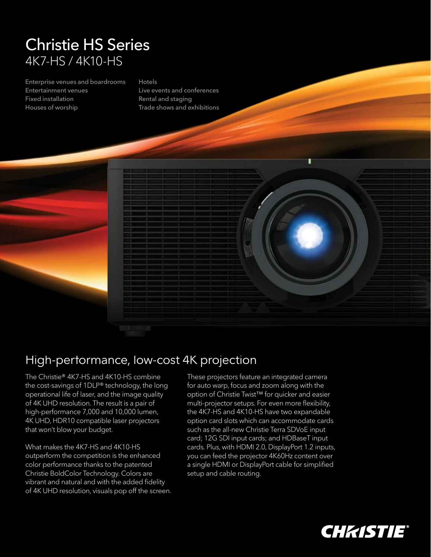## Christie HS Series 4K7-HS / 4K10-HS

Enterprise venues and boardrooms Entertainment venues Fixed installation Houses of worship

## Hotels

Live events and conferences Rental and staging Trade shows and exhibitions



## High-performance, low-cost 4K projection

The Christie® 4K7-HS and 4K10-HS combine the cost-savings of 1DLP® technology, the long operational life of laser, and the image quality of 4K UHD resolution. The result is a pair of high-performance 7,000 and 10,000 lumen, 4K UHD, HDR10 compatible laser projectors that won't blow your budget.

What makes the 4K7-HS and 4K10-HS outperform the competition is the enhanced color performance thanks to the patented Christie BoldColor Technology. Colors are vibrant and natural and with the added fidelity of 4K UHD resolution, visuals pop off the screen.

These projectors feature an integrated camera for auto warp, focus and zoom along with the option of Christie Twist™ for quicker and easier multi-projector setups. For even more flexibility, the 4K7-HS and 4K10-HS have two expandable option card slots which can accommodate cards such as the all-new Christie Terra SDVoE input card; 12G SDI input cards; and HDBaseT input cards. Plus, with HDMI 2.0, DisplayPort 1.2 inputs, you can feed the projector 4K60Hz content over a single HDMI or DisplayPort cable for simplified setup and cable routing.